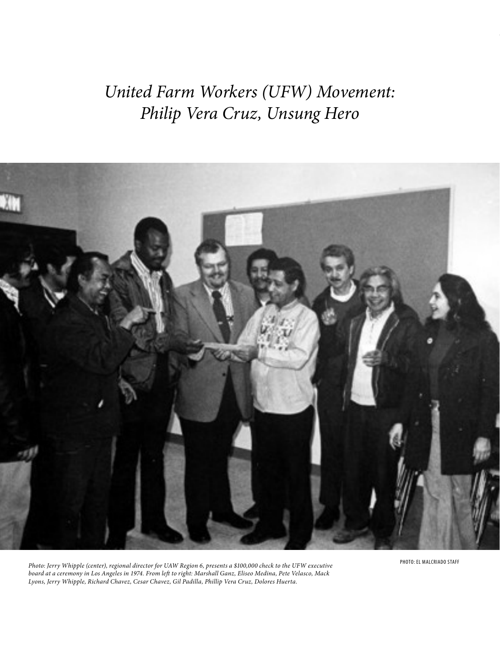*United Farm Workers (UFW) Movement: Philip Vera Cruz, Unsung Hero*



PHOTO: EL MALCRIADO STAFF *Photo: Jerry Whipple (center), regional director for UAW Region 6, presents a \$100,000 check to the UFW executive board at a ceremony in Los Angeles in 1974. From left to right: Marshall Ganz, Eliseo Medina, Pete Velasco, Mack Lyons, Jerry Whipple, Richard Chavez, Cesar Chavez, Gil Padilla, Phillip Vera Cruz, Dolores Huerta.*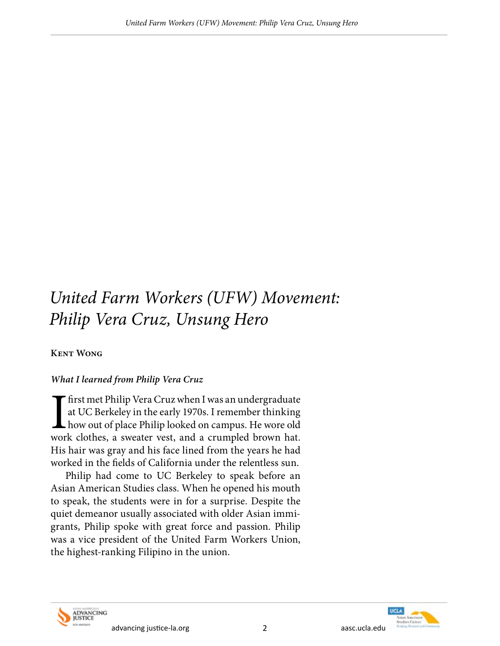# *United Farm Workers (UFW) Movement: Philip Vera Cruz, Unsung Hero*

## **Kent Wong**

## *What I learned from Philip Vera Cruz*

If first met Philip Vera Cruz when I was an undergraduate at UC Berkeley in the early 1970s. I remember thinking how out of place Philip looked on campus. He wore old work clothes, a sweater vest, and a crumpled brown hat. at UC Berkeley in the early 1970s. I remember thinking how out of place Philip looked on campus. He wore old work clothes, a sweater vest, and a crumpled brown hat. His hair was gray and his face lined from the years he had worked in the fields of California under the relentless sun.

Philip had come to UC Berkeley to speak before an Asian American Studies class. When he opened his mouth to speak, the students were in for a surprise. Despite the quiet demeanor usually associated with older Asian immigrants, Philip spoke with great force and passion. Philip was a vice president of the United Farm Workers Union, the highest-ranking Filipino in the union.



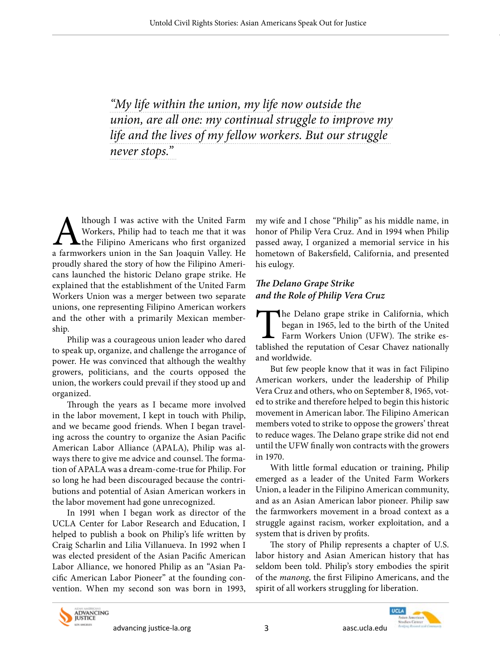*"My life within the union, my life now outside the union, are all one: my continual struggle to improve my life and the lives of my fellow workers. But our struggle never stops."* 

Although I was active with the United Farm<br>Workers, Philip had to teach me that it was<br>the Filipino Americans who first organized<br>a farmworkers union in the San Joaquin Valley. He Workers, Philip had to teach me that it was the Filipino Americans who first organized a farmworkers union in the San Joaquin Valley. He proudly shared the story of how the Filipino Americans launched the historic Delano grape strike. He explained that the establishment of the United Farm Workers Union was a merger between two separate unions, one representing Filipino American workers and the other with a primarily Mexican membership.

Philip was a courageous union leader who dared to speak up, organize, and challenge the arrogance of power. He was convinced that although the wealthy growers, politicians, and the courts opposed the union, the workers could prevail if they stood up and organized.

Through the years as I became more involved in the labor movement, I kept in touch with Philip, and we became good friends. When I began traveling across the country to organize the Asian Pacific American Labor Alliance (APALA), Philip was always there to give me advice and counsel. The formation of APALA was a dream-come-true for Philip. For so long he had been discouraged because the contributions and potential of Asian American workers in the labor movement had gone unrecognized.

In 1991 when I began work as director of the UCLA Center for Labor Research and Education, I helped to publish a book on Philip's life written by Craig Scharlin and Lilia Villanueva. In 1992 when I was elected president of the Asian Pacific American Labor Alliance, we honored Philip as an "Asian Pacific American Labor Pioneer" at the founding convention. When my second son was born in 1993,

my wife and I chose "Philip" as his middle name, in honor of Philip Vera Cruz. And in 1994 when Philip passed away, I organized a memorial service in his hometown of Bakersfield, California, and presented his eulogy.

#### *The Delano Grape Strike and the Role of Philip Vera Cruz*

The Delano grape strike in California, which<br>began in 1965, led to the birth of the United<br>Farm Workers Union (UFW). The strike es-<br>tablished the reputation of Cesar Chavez nationally began in 1965, led to the birth of the United Farm Workers Union (UFW). The strike established the reputation of Cesar Chavez nationally and worldwide.

But few people know that it was in fact Filipino American workers, under the leadership of Philip Vera Cruz and others, who on September 8, 1965, voted to strike and therefore helped to begin this historic movement in American labor. The Filipino American members voted to strike to oppose the growers' threat to reduce wages. The Delano grape strike did not end until the UFW finally won contracts with the growers in 1970.

With little formal education or training, Philip emerged as a leader of the United Farm Workers Union, a leader in the Filipino American community, and as an Asian American labor pioneer. Philip saw the farmworkers movement in a broad context as a struggle against racism, worker exploitation, and a system that is driven by profits.

The story of Philip represents a chapter of U.S. labor history and Asian American history that has seldom been told. Philip's story embodies the spirit of the *manong*, the first Filipino Americans, and the spirit of all workers struggling for liberation.



advancing justice-la.org and some control and a settled as a settled as a settled and a settled as a settled a

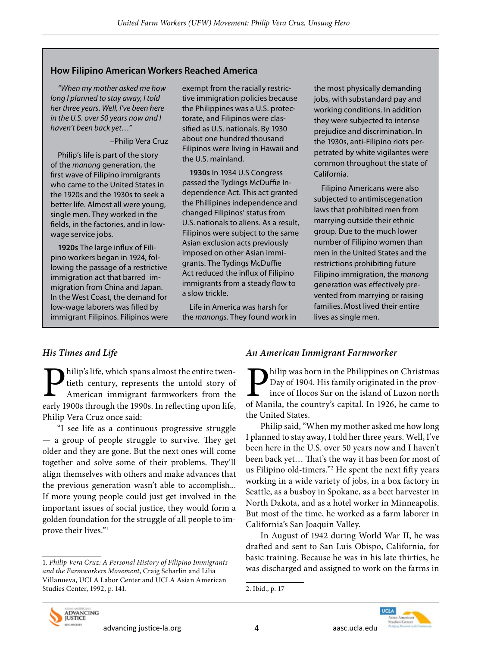#### **How Filipino American Workers Reached America**

*"When my mother asked me how long I planned to stay away, I told her three years. Well, I've been here in the U.S. over 50 years now and I haven't been back yet…"*

#### –Philip Vera Cruz

Philip's life is part of the story of the *manong* generation, the first wave of Filipino immigrants who came to the United States in the 1920s and the 1930s to seek a better life. Almost all were young, single men. They worked in the fields, in the factories, and in lowwage service jobs.

**1920s** The large influx of Filipino workers began in 1924, following the passage of a restrictive immigration act that barred immigration from China and Japan. In the West Coast, the demand for low-wage laborers was filled by immigrant Filipinos. Filipinos were exempt from the racially restrictive immigration policies because the Philippines was a U.S. protectorate, and Filipinos were classified as U.S. nationals. By 1930 about one hundred thousand Filipinos were living in Hawaii and the U.S. mainland.

**1930s** In 1934 U.S Congress passed the Tydings McDuffie Independence Act. This act granted the Phillipines independence and changed Filipinos' status from U.S. nationals to aliens. As a result, Filipinos were subject to the same Asian exclusion acts previously imposed on other Asian immigrants. The Tydings McDuffie Act reduced the influx of Filipino immigrants from a steady flow to a slow trickle.

Life in America was harsh for the *manongs*. They found work in

the most physically demanding jobs, with substandard pay and working conditions. In addition they were subjected to intense prejudice and discrimination. In the 1930s, anti-Filipino riots perpetrated by white vigilantes were common throughout the state of California.

Filipino Americans were also subjected to antimiscegenation laws that prohibited men from marrying outside their ethnic group. Due to the much lower number of Filipino women than men in the United States and the restrictions prohibiting future Filipino immigration, the *manong* generation was effectively prevented from marrying or raising families. Most lived their entire lives as single men.

#### *His Times and Life*

**Philip's life, which spans almost the entire twen-**<br>tieth century, represents the untold story of<br>American immigrant farmworkers from the<br>early 1900s through the 1990s. In reflecting upon life tieth century, represents the untold story of American immigrant farmworkers from the early 1900s through the 1990s. In reflecting upon life, Philip Vera Cruz once said:

"I see life as a continuous progressive struggle — a group of people struggle to survive. They get older and they are gone. But the next ones will come together and solve some of their problems. They'll align themselves with others and make advances that the previous generation wasn't able to accomplish... If more young people could just get involved in the important issues of social justice, they would form a golden foundation for the struggle of all people to improve their lives."1

#### *An American Immigrant Farmworker*

hilip was born in the Philippines on Christmas Day of 1904. His family originated in the province of Ilocos Sur on the island of Luzon north of Manila, the country's capital. In 1926, he came to the United States.

Philip said, "When my mother asked me how long I planned to stay away, I told her three years. Well, I've been here in the U.S. over 50 years now and I haven't been back yet… That's the way it has been for most of us Filipino old-timers."2 He spent the next fifty years working in a wide variety of jobs, in a box factory in Seattle, as a busboy in Spokane, as a beet harvester in North Dakota, and as a hotel worker in Minneapolis. But most of the time, he worked as a farm laborer in California's San Joaquin Valley.

In August of 1942 during World War II, he was drafted and sent to San Luis Obispo, California, for basic training. Because he was in his late thirties, he was discharged and assigned to work on the farms in



<sup>1.</sup> *Philip Vera Cruz: A Personal History of Filipino Immigrants and the Farmworkers Movement*, Craig Scharlin and Lilia Villanueva, UCLA Labor Center and UCLA Asian American Studies Center, 1992, p. 141.

<sup>2.</sup> Ibid., p. 17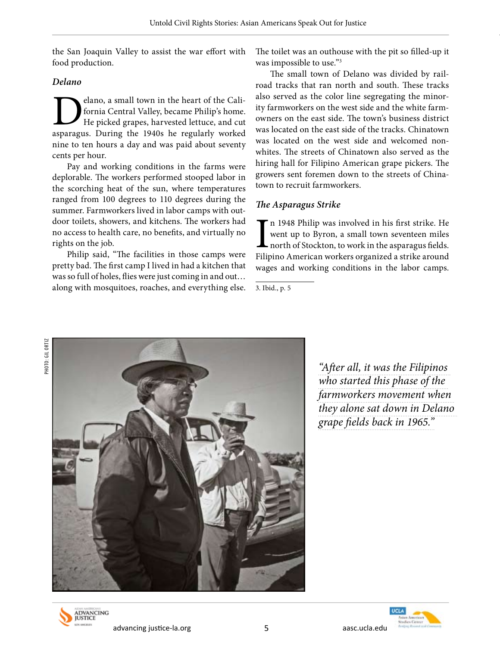the San Joaquin Valley to assist the war effort with food production.

*Delano*

**D**elano, a small town in the heart of the Cali-<br>fornia Central Valley, became Philip's home.<br>He picked grapes, harvested lettuce, and cut<br>asparagus. During the 1940s he regularly worked fornia Central Valley, became Philip's home. He picked grapes, harvested lettuce, and cut asparagus. During the 1940s he regularly worked nine to ten hours a day and was paid about seventy cents per hour.

Pay and working conditions in the farms were deplorable. The workers performed stooped labor in the scorching heat of the sun, where temperatures ranged from 100 degrees to 110 degrees during the summer. Farmworkers lived in labor camps with outdoor toilets, showers, and kitchens. The workers had no access to health care, no benefits, and virtually no rights on the job.

Philip said, "The facilities in those camps were pretty bad. The first camp I lived in had a kitchen that was so full of holes, flies were just coming in and out… along with mosquitoes, roaches, and everything else. The toilet was an outhouse with the pit so filled-up it was impossible to use."3

The small town of Delano was divided by railroad tracks that ran north and south. These tracks also served as the color line segregating the minority farmworkers on the west side and the white farmowners on the east side. The town's business district was located on the east side of the tracks. Chinatown was located on the west side and welcomed nonwhites. The streets of Chinatown also served as the hiring hall for Filipino American grape pickers. The growers sent foremen down to the streets of Chinatown to recruit farmworkers.

## *The Asparagus Strike*

In 1948 Philip was involved in his first strike. He went up to Byron, a small town seventeen miles north of Stockton, to work in the asparagus fields. Filipino American workers organized a strike around n 1948 Philip was involved in his first strike. He went up to Byron, a small town seventeen miles north of Stockton, to work in the asparagus fields. wages and working conditions in the labor camps.



*"After all, it was the Filipinos who started this phase of the farmworkers movement when they alone sat down in Delano grape fields back in 1965."*





<sup>3.</sup> Ibid., p. 5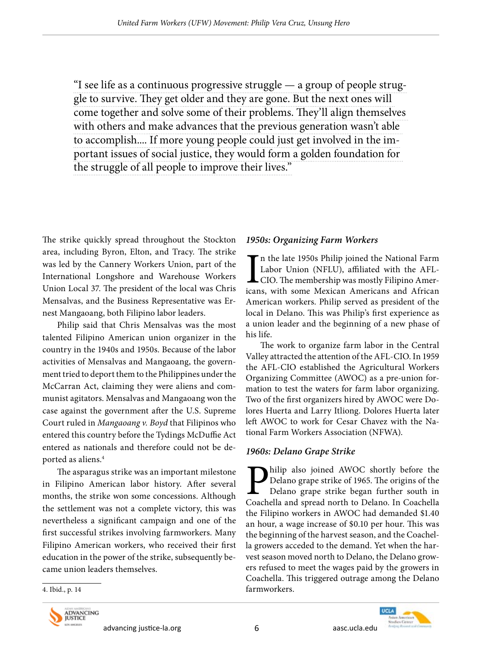"I see life as a continuous progressive struggle — a group of people struggle to survive. They get older and they are gone. But the next ones will come together and solve some of their problems. They'll align themselves with others and make advances that the previous generation wasn't able to accomplish.... If more young people could just get involved in the important issues of social justice, they would form a golden foundation for the struggle of all people to improve their lives."

The strike quickly spread throughout the Stockton area, including Byron, Elton, and Tracy. The strike was led by the Cannery Workers Union, part of the International Longshore and Warehouse Workers Union Local 37. The president of the local was Chris Mensalvas, and the Business Representative was Ernest Mangaoang, both Filipino labor leaders.

Philip said that Chris Mensalvas was the most talented Filipino American union organizer in the country in the 1940s and 1950s. Because of the labor activities of Mensalvas and Mangaoang, the government tried to deport them to the Philippines under the McCarran Act, claiming they were aliens and communist agitators. Mensalvas and Mangaoang won the case against the government after the U.S. Supreme Court ruled in *Mangaoang v. Boyd* that Filipinos who entered this country before the Tydings McDuffie Act entered as nationals and therefore could not be deported as aliens.<sup>4</sup>

The asparagus strike was an important milestone in Filipino American labor history. After several months, the strike won some concessions. Although the settlement was not a complete victory, this was nevertheless a significant campaign and one of the first successful strikes involving farmworkers. Many Filipino American workers, who received their first education in the power of the strike, subsequently became union leaders themselves.

#### *1950s: Organizing Farm Workers*

 $\prod_{\substack{\text{ican}}$ n the late 1950s Philip joined the National Farm Labor Union (NFLU), affiliated with the AFL-CIO. The membership was mostly Filipino Americans, with some Mexican Americans and African American workers. Philip served as president of the local in Delano. This was Philip's first experience as a union leader and the beginning of a new phase of his life.

The work to organize farm labor in the Central Valley attracted the attention of the AFL-CIO. In 1959 the AFL-CIO established the Agricultural Workers Organizing Committee (AWOC) as a pre-union formation to test the waters for farm labor organizing. Two of the first organizers hired by AWOC were Dolores Huerta and Larry Itliong. Dolores Huerta later left AWOC to work for Cesar Chavez with the National Farm Workers Association (NFWA).

#### *1960s: Delano Grape Strike*

hilip also joined AWOC shortly before the Delano grape strike of 1965. The origins of the Delano grape strike began further south in Coachella and spread north to Delano. In Coachella the Filipino workers in AWOC had demanded \$1.40 an hour, a wage increase of \$0.10 per hour. This was the beginning of the harvest season, and the Coachella growers acceded to the demand. Yet when the harvest season moved north to Delano, the Delano growers refused to meet the wages paid by the growers in Coachella. This triggered outrage among the Delano farmworkers.



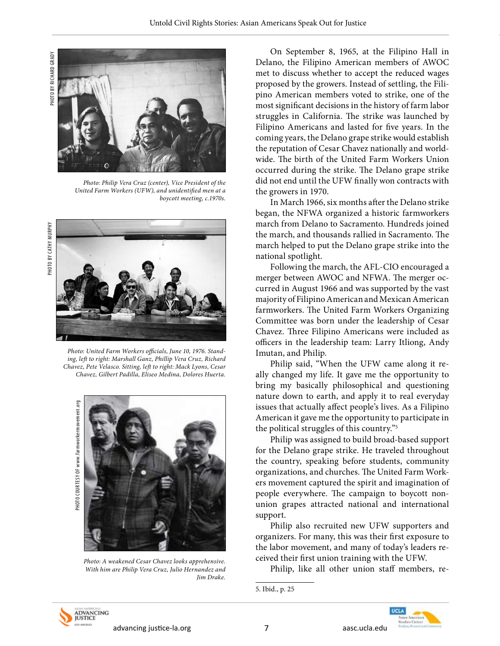



*Photo: Philip Vera Cruz (center), Vice President of the United Farm Workers (UFW), and unidentified men at a boycott meeting, c.1970s.*



*Photo: United Farm Workers officials, June 10, 1976. Standing, left to right: Marshall Ganz, Phillip Vera Cruz, Richard Chavez, Pete Velasco. Sitting, left to right: Mack Lyons, Cesar Chavez, Gilbert Padilla, Eliseo Medina, Dolores Huerta.*



*Photo: A weakened Cesar Chavez looks apprehensive. With him are Philip Vera Cruz, Julio Hernandez and Jim Drake.*

On September 8, 1965, at the Filipino Hall in Delano, the Filipino American members of AWOC met to discuss whether to accept the reduced wages proposed by the growers. Instead of settling, the Filipino American members voted to strike, one of the most significant decisions in the history of farm labor struggles in California. The strike was launched by Filipino Americans and lasted for five years. In the coming years, the Delano grape strike would establish the reputation of Cesar Chavez nationally and worldwide. The birth of the United Farm Workers Union occurred during the strike. The Delano grape strike did not end until the UFW finally won contracts with the growers in 1970.

In March 1966, six months after the Delano strike began, the NFWA organized a historic farmworkers march from Delano to Sacramento. Hundreds joined the march, and thousands rallied in Sacramento. The march helped to put the Delano grape strike into the national spotlight.

Following the march, the AFL-CIO encouraged a merger between AWOC and NFWA. The merger occurred in August 1966 and was supported by the vast majority of Filipino American and Mexican American farmworkers. The United Farm Workers Organizing Committee was born under the leadership of Cesar Chavez. Three Filipino Americans were included as officers in the leadership team: Larry Itliong, Andy Imutan, and Philip.

Philip said, "When the UFW came along it really changed my life. It gave me the opportunity to bring my basically philosophical and questioning nature down to earth, and apply it to real everyday issues that actually affect people's lives. As a Filipino American it gave me the opportunity to participate in the political struggles of this country."5

Philip was assigned to build broad-based support for the Delano grape strike. He traveled throughout the country, speaking before students, community organizations, and churches. The United Farm Workers movement captured the spirit and imagination of people everywhere. The campaign to boycott nonunion grapes attracted national and international support.

Philip also recruited new UFW supporters and organizers. For many, this was their first exposure to the labor movement, and many of today's leaders received their first union training with the UFW.

Philip, like all other union staff members, re-



ADVANCING<br>JUSTICE advancing justice-la.org and mean and mean of the control of the control of the aasc.ucla.edu

<sup>5.</sup> Ibid., p. 25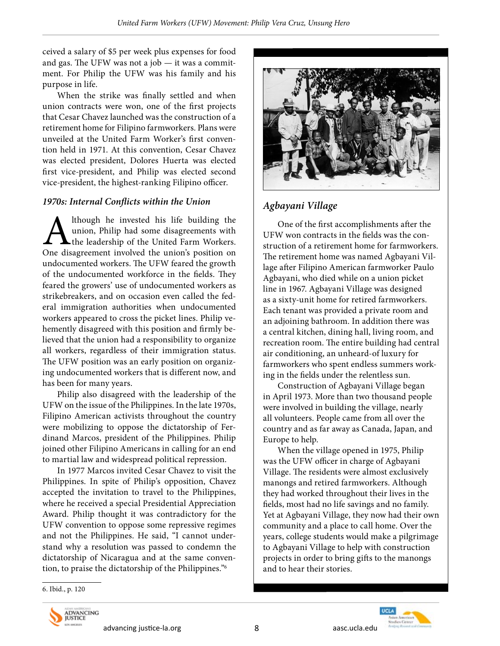ceived a salary of \$5 per week plus expenses for food and gas. The UFW was not a job — it was a commitment. For Philip the UFW was his family and his purpose in life.

When the strike was finally settled and when union contracts were won, one of the first projects that Cesar Chavez launched was the construction of a retirement home for Filipino farmworkers. Plans were unveiled at the United Farm Worker's first convention held in 1971. At this convention, Cesar Chavez was elected president, Dolores Huerta was elected first vice-president, and Philip was elected second vice-president, the highest-ranking Filipino officer.

#### *1970s: Internal Conflicts within the Union*

Although he invested his life building the<br>union, Philip had some disagreements with<br>the leadership of the United Farm Workers.<br>One disagreement involved the union's position on union, Philip had some disagreements with the leadership of the United Farm Workers. One disagreement involved the union's position on undocumented workers. The UFW feared the growth of the undocumented workforce in the fields. They feared the growers' use of undocumented workers as strikebreakers, and on occasion even called the federal immigration authorities when undocumented workers appeared to cross the picket lines. Philip vehemently disagreed with this position and firmly believed that the union had a responsibility to organize all workers, regardless of their immigration status. The UFW position was an early position on organizing undocumented workers that is different now, and has been for many years.

Philip also disagreed with the leadership of the UFW on the issue of the Philippines. In the late 1970s, Filipino American activists throughout the country were mobilizing to oppose the dictatorship of Ferdinand Marcos, president of the Philippines. Philip joined other Filipino Americans in calling for an end to martial law and widespread political repression.

In 1977 Marcos invited Cesar Chavez to visit the Philippines. In spite of Philip's opposition, Chavez accepted the invitation to travel to the Philippines, where he received a special Presidential Appreciation Award. Philip thought it was contradictory for the UFW convention to oppose some repressive regimes and not the Philippines. He said, "I cannot understand why a resolution was passed to condemn the dictatorship of Nicaragua and at the same convention, to praise the dictatorship of the Philippines."6



## *Agbayani Village*

One of the first accomplishments after the UFW won contracts in the fields was the construction of a retirement home for farmworkers. The retirement home was named Agbayani Village after Filipino American farmworker Paulo Agbayani, who died while on a union picket line in 1967. Agbayani Village was designed as a sixty-unit home for retired farmworkers. Each tenant was provided a private room and an adjoining bathroom. In addition there was a central kitchen, dining hall, living room, and recreation room. The entire building had central air conditioning, an unheard-of luxury for farmworkers who spent endless summers working in the fields under the relentless sun.

Construction of Agbayani Village began in April 1973. More than two thousand people were involved in building the village, nearly all volunteers. People came from all over the country and as far away as Canada, Japan, and Europe to help.

When the village opened in 1975, Philip was the UFW officer in charge of Agbayani Village. The residents were almost exclusively manongs and retired farmworkers. Although they had worked throughout their lives in the fields, most had no life savings and no family. Yet at Agbayani Village, they now had their own community and a place to call home. Over the years, college students would make a pilgrimage to Agbayani Village to help with construction projects in order to bring gifts to the manongs and to hear their stories.

6. Ibid., p. 120



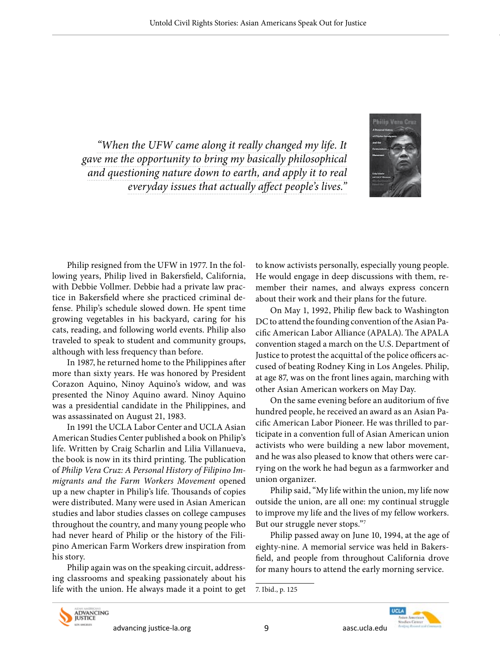*"When the UFW came along it really changed my life. It gave me the opportunity to bring my basically philosophical and questioning nature down to earth, and apply it to real everyday issues that actually affect people's lives."* 



Philip resigned from the UFW in 1977. In the following years, Philip lived in Bakersfield, California, with Debbie Vollmer. Debbie had a private law practice in Bakersfield where she practiced criminal defense. Philip's schedule slowed down. He spent time growing vegetables in his backyard, caring for his cats, reading, and following world events. Philip also traveled to speak to student and community groups, although with less frequency than before.

In 1987, he returned home to the Philippines after more than sixty years. He was honored by President Corazon Aquino, Ninoy Aquino's widow, and was presented the Ninoy Aquino award. Ninoy Aquino was a presidential candidate in the Philippines, and was assassinated on August 21, 1983.

In 1991 the UCLA Labor Center and UCLA Asian American Studies Center published a book on Philip's life. Written by Craig Scharlin and Lilia Villanueva, the book is now in its third printing. The publication of *Philip Vera Cruz: A Personal History of Filipino Immigrants and the Farm Workers Movement* opened up a new chapter in Philip's life. Thousands of copies were distributed. Many were used in Asian American studies and labor studies classes on college campuses throughout the country, and many young people who had never heard of Philip or the history of the Filipino American Farm Workers drew inspiration from his story.

Philip again was on the speaking circuit, addressing classrooms and speaking passionately about his life with the union. He always made it a point to get to know activists personally, especially young people. He would engage in deep discussions with them, remember their names, and always express concern about their work and their plans for the future.

On May 1, 1992, Philip flew back to Washington DC to attend the founding convention of the Asian Pacific American Labor Alliance (APALA). The APALA convention staged a march on the U.S. Department of Justice to protest the acquittal of the police officers accused of beating Rodney King in Los Angeles. Philip, at age 87, was on the front lines again, marching with other Asian American workers on May Day.

On the same evening before an auditorium of five hundred people, he received an award as an Asian Pacific American Labor Pioneer. He was thrilled to participate in a convention full of Asian American union activists who were building a new labor movement, and he was also pleased to know that others were carrying on the work he had begun as a farmworker and union organizer.

Philip said, "My life within the union, my life now outside the union, are all one: my continual struggle to improve my life and the lives of my fellow workers. But our struggle never stops."7

Philip passed away on June 10, 1994, at the age of eighty-nine. A memorial service was held in Bakersfield, and people from throughout California drove for many hours to attend the early morning service.



<sup>7.</sup> Ibid., p. 125